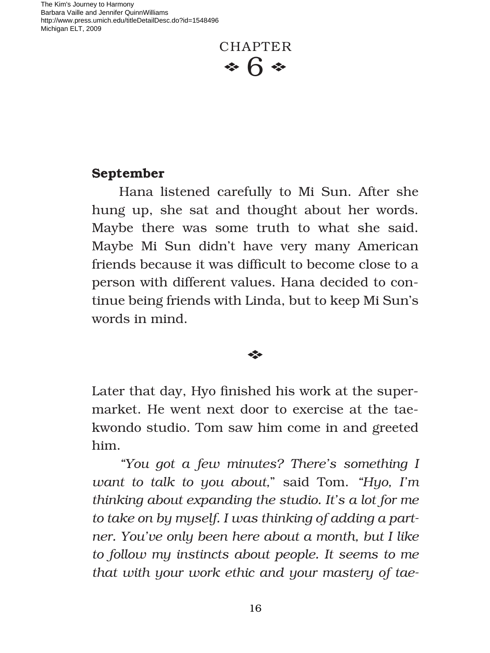The Kim's Journey to Harmony Barbara Vaille and Jennifer QuinnWilliams http://www.press.umich.edu/titleDetailDesc.do?id=1548496 Michigan ELT, 2009



## **September**

Hana listened carefully to Mi Sun. After she hung up, she sat and thought about her words. Maybe there was some truth to what she said. Maybe Mi Sun didn't have very many American friends because it was difficult to become close to a person with different values. Hana decided to continue being friends with Linda, but to keep Mi Sun's words in mind.

## $\triangle$

Later that day, Hyo finished his work at the supermarket. He went next door to exercise at the taekwondo studio. Tom saw him come in and greeted him.

*"You got a few minutes? There's something I want to talk to you about,*" said Tom. *"Hyo, I'm thinking about expanding the studio. It's a lot for me to take on by myself. I was thinking of adding a partner. You've only been here about a month, but I like to follow my instincts about people. It seems to me that with your work ethic and your mastery of tae-*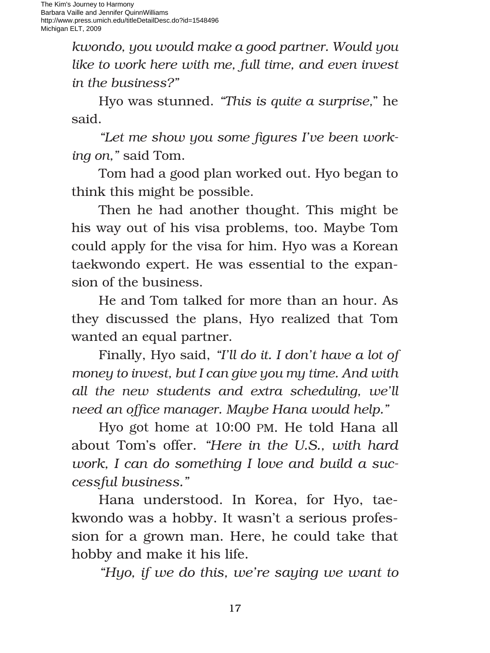*kwondo, you would make a good partner. Would you like to work here with me, full time, and even invest in the business?"*

Hyo was stunned. *"This is quite a surprise,*" he said.

"Let me show you some figures I've been work*ing on,"* said Tom.

Tom had a good plan worked out. Hyo began to think this might be possible.

Then he had another thought. This might be his way out of his visa problems, too. Maybe Tom could apply for the visa for him. Hyo was a Korean taekwondo expert. He was essential to the expansion of the business.

He and Tom talked for more than an hour. As they discussed the plans, Hyo realized that Tom wanted an equal partner.

Finally, Hyo said, *"I'll do it. I don't have a lot of money to invest, but I can give you my time. And with all the new students and extra scheduling, we'll need an office manager. Maybe Hana would help."* 

Hyo got home at 10:00 PM. He told Hana all about Tom's offer. *"Here in the U.S., with hard work, I can do something I love and build a successful business."*

Hana understood. In Korea, for Hyo, taekwondo was a hobby. It wasn't a serious profession for a grown man. Here, he could take that hobby and make it his life.

*"Hyo, if we do this, we're saying we want to*